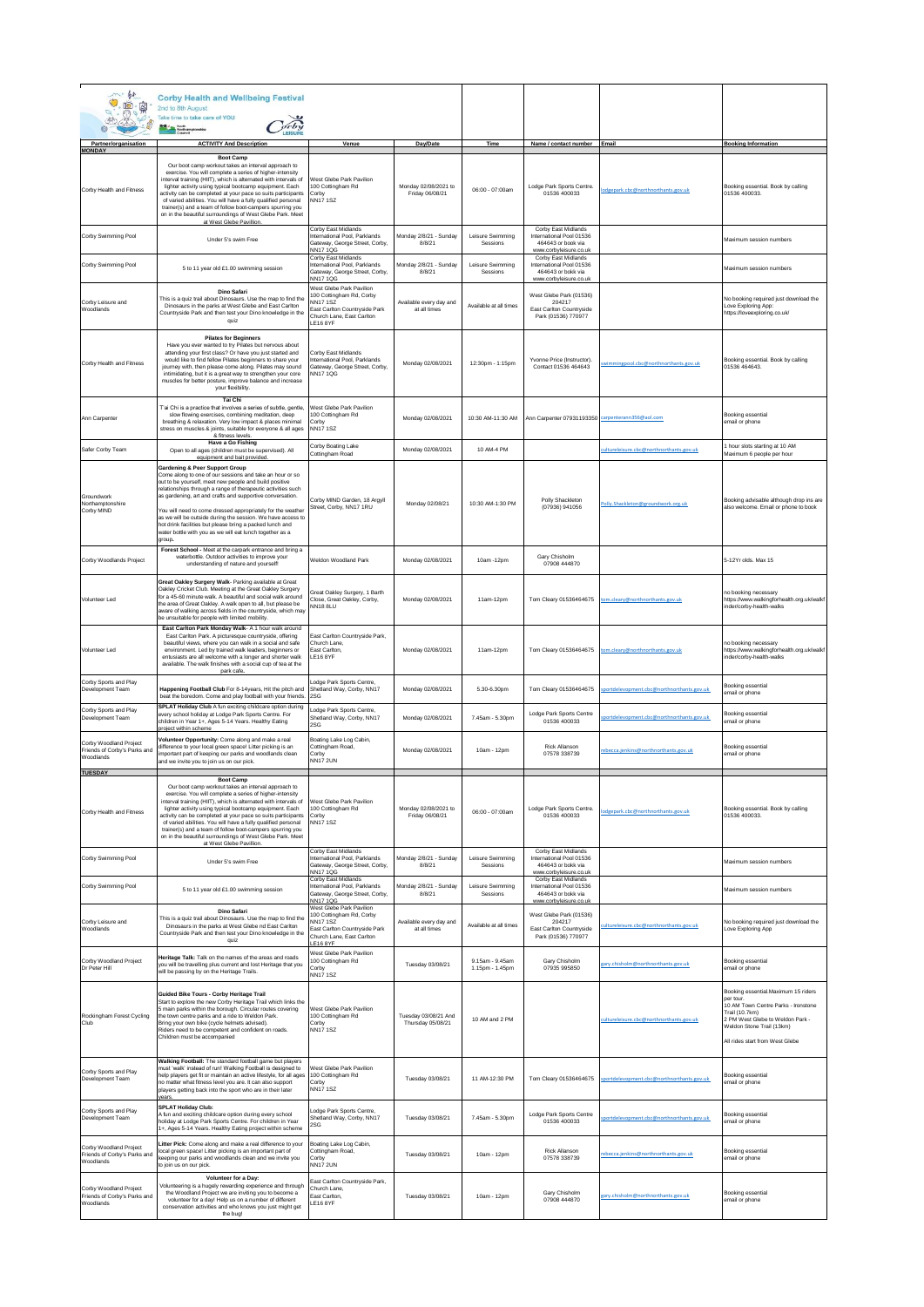| m. or<br>0.07<br><b>西公</b>                                          | <b>Corby Health and Wellbeing Festival</b><br>2nd to 8th August<br>Take time to take care of YOU<br><b>Right</b> Month                                                                                                                                                                                                                                                                                                                                                                                                                                     |                                                                                                                                                 |                                           |                                    |                                                                                                 |                                           |                                                                                                                                                                                                              |
|---------------------------------------------------------------------|------------------------------------------------------------------------------------------------------------------------------------------------------------------------------------------------------------------------------------------------------------------------------------------------------------------------------------------------------------------------------------------------------------------------------------------------------------------------------------------------------------------------------------------------------------|-------------------------------------------------------------------------------------------------------------------------------------------------|-------------------------------------------|------------------------------------|-------------------------------------------------------------------------------------------------|-------------------------------------------|--------------------------------------------------------------------------------------------------------------------------------------------------------------------------------------------------------------|
| Partner/organisation                                                | <b>ACTIVITY And Description</b>                                                                                                                                                                                                                                                                                                                                                                                                                                                                                                                            | Venue                                                                                                                                           | Day/Date                                  | Time                               | Name / contact number Email                                                                     |                                           | <b>Booking Information</b>                                                                                                                                                                                   |
| <b>MONDAY</b><br>Corby Health and Fitness                           | <b>Boot Camp</b><br>Our boot camp workout takes an interval approach to<br>exercise. You will complete a series of higher-intensity<br>nterval training (HIIT), which is alternated with intervals of<br>lighter activity using typical bootcamp equipment. Each<br>ectivity can be completed at your pace so suits participants<br>of varied abilities. You will have a fully qualified personal<br>trainer(s) and a team of follow boot-campers spurring you<br>on in the beautiful surroundings of West Glebe Park. Meet<br>at West Glebe Pavillion     | <b>Nest Glebe Park Pavilion</b><br>100 Cottingham Rd<br>Corby<br><b>NN171SZ</b>                                                                 | Monday 02/08/2021 to<br>Friday 06/08/21   | 06:00 - 07:00am                    | Lodge Park Sports Centre.<br>01536 400033                                                       | odgepark.cbc@northnorthants.gov.uk        | Booking essential. Book by calling<br>01536 400033.                                                                                                                                                          |
| Corby Swimming Pool                                                 | Under 5's swim Free                                                                                                                                                                                                                                                                                                                                                                                                                                                                                                                                        | Corby East Midlands<br>nternational Pool, Parklands<br>Gateway, George Street, Corby,<br>NN171QG                                                | Monday 2/8/21 - Sunday<br>8/8/21          | Leisure Swimming<br>Sessions       | Corby East Midlands<br>International Pool 01536<br>464643 or book via<br>www.corbyleisure.co.uk |                                           | Maximum session numbers                                                                                                                                                                                      |
| Corby Swimming Pool                                                 | 5 to 11 year old £1.00 swimming session                                                                                                                                                                                                                                                                                                                                                                                                                                                                                                                    | Corby East Midlands<br>International Pool, Parklands<br>Gateway, George Street, Corby,<br>NN17 1QG                                              | Monday 2/8/21 - Sunday<br>8/8/21          | Leisure Swimming<br>Sessions       | Corby East Midlands<br>International Pool 01536<br>464643 or bokk via<br>www.corbyleisure.co.uk |                                           | Maximum session numbers                                                                                                                                                                                      |
| Corby Leisure and<br>Woodlands                                      | Dino Safari<br>This is a quiz trail about Dinosaurs. Use the map to find the<br>Dinosaurs in the parks at West Glebe and East Carlton<br>Countryside Park and then test your Dino knowledge in the<br>quiz                                                                                                                                                                                                                                                                                                                                                 | West Glebe Park Pavilion<br>100 Cottingham Rd, Corby<br><b>VN171SZ</b><br>ast Carlton Countryside Park<br>Church Lane, East Carlton<br>LE16 8YF | Available every day and<br>at all times   | Available at all times             | West Glebe Park (01536)<br>204217<br>East Carlton Countryside<br>Park (01536) 770977            |                                           | No booking required just download the<br>Love Exploring App:<br>https://loveexploring.co.uk/                                                                                                                 |
| Corby Health and Fitness                                            | <b>Pilates for Beginners</b><br>Have you ever wanted to try Pilates but nervous about<br>attending your first class? Or have you just started and<br>would like to find fellow Pilates beginners to share your<br>journey with, then please come along. Pilates may sound<br>intimidating, but it is a great way to strengthen your core<br>muscles for better posture, improve balance and increase<br>your flexibility.                                                                                                                                  | Corby East Midlands<br>International Pool, Parklands<br>Gateway, George Street, Corby,<br><b>NN171QG</b>                                        | Monday 02/08/2021                         | 12:30pm - 1:15pm                   | Yvonne Price (Instructor).<br>Contact 01536 464643                                              | wimmingpool.cbc@northnorthants.gov.uk     | Booking essential. Book by calling<br>01536 464643.                                                                                                                                                          |
| Ann Carpenter                                                       | Tai Chi<br>T'ai Chi is a practice that involves a series of subtle, gentle,<br>slow flowing exercises, combining meditation, deep<br>breathing & relaxation. Very low impact & places minimal<br>stress on muscles & joints, suitable for everyone & all ages<br>& fitness levels.                                                                                                                                                                                                                                                                         | <b>Nest Glebe Park Pavilion</b><br>100 Cottingham Rd<br>Corby<br><b>NN171SZ</b>                                                                 | Monday 02/08/2021                         | 10:30 AM-11:30 AM                  | Ann Carpenter 07931193350                                                                       | caroenterann356@aol.com                   | Booking essential<br>email or phone                                                                                                                                                                          |
| Safer Corby Team                                                    | Have a Go Fishing<br>Open to all ages (children must be supervised). All<br>equipment and bait provided                                                                                                                                                                                                                                                                                                                                                                                                                                                    | Corby Boating Lake<br>Cottingham Road                                                                                                           | Monday 02/08/2021                         | 10 AM-4 PM                         |                                                                                                 | ultureleisure.cbc@northnorthants.gov.uk   | 1 hour slots starting at 10 AM<br>Maximum 6 people per hour                                                                                                                                                  |
| Groundwork<br>Northamptonshire<br>Corby MIND                        | <b>Gardening &amp; Peer Support Group</b><br>Come along to one of our sessions and take an hour or so<br>out to be yourself, meet new people and build positive<br>elationships through a range of therapeutic activities such<br>s gardening, art and crafts and supportive conversation.<br>You will need to come dressed appropriately for the weather<br>as we will be outside during the session. We have access to<br>hot drink facilities but please bring a packed lunch and<br>water bottle with you as we will eat lunch together as a<br>group. | Corby MIND Garden, 18 Argyll<br>Street, Corby, NN17 1RU                                                                                         | Monday 02/08/21                           | 10:30 AM-1:30 PM                   | Polly Shackleton<br>(07936) 941056                                                              | Polly.Shackleton@groundwork.org.uk        | Booking advisable although drop ins are<br>also welcome. Email or phone to book                                                                                                                              |
| Corby Woodlands Project                                             | Forest School - Meet at the carpark entrance and bring a<br>waterbottle. Outdoor activities to improve your<br>understanding of nature and yourself!                                                                                                                                                                                                                                                                                                                                                                                                       | Weldon Woodland Park                                                                                                                            | Monday 02/08/2021                         | 10am -12pm                         | Gary Chisholm<br>07908 444870                                                                   |                                           | 5-12Yr olds, Max 15                                                                                                                                                                                          |
| Volunteer Led                                                       | Great Oakley Surgery Walk- Parking available at Great<br>Oakley Cricket Club. Meeting at the Great Oakley Surgery<br>for a 45-60 minute walk. A beautiful and social walk around<br>he area of Great Oakley. A walk open to all, but please be<br>aware of walking across fields in the countryside, which may<br>be unsuitable for people with limited mobility.                                                                                                                                                                                          | Great Oakley Surgery, 1 Barth<br>Close. Great Oakley, Corby,<br><b>NN18 8LU</b>                                                                 | Monday 02/08/2021                         | 11am-12pm                          | Tom Cleary 01536464675                                                                          | om.cleary@northnorthants.gov.uk           | no booking necessary<br>https://www.walkingforhealth.org.uk/walkf<br>inder/corby-health-walks                                                                                                                |
| Volunteer Led                                                       | East Carlton Park Monday Walk- A 1 hour walk around<br>East Carlton Park. A picturesque countryside, offering<br>beautiful views, where you can walk in a social and safe<br>environment. Led by trained walk leaders, beginners or<br>entusiasts are all welcome with a longer and shorter walk<br>available. The walk finishes with a social cup of tea at the<br>park cafe                                                                                                                                                                              | ast Carlton Countryside Park,<br>Church Lane,<br>East Carlton,<br>LE16 8YF                                                                      | Monday 02/08/2021                         | 11am-12pm                          | Tom Cleary 01536464675                                                                          | om.cleary@northnorthants.gov.uk           | no booking necessary<br>https://www.walkingforhealth.org.uk/walkf<br>inder/corby-health-walks                                                                                                                |
| Corby Sports and Play<br>Development Team                           | Happening Football Club For 8-14years, Hit the pitch and<br>eat the boredom. Come and play football with your friends                                                                                                                                                                                                                                                                                                                                                                                                                                      | odge Park Sports Centre,<br>Shetland Way, Corby, NN17<br>2SG                                                                                    | Monday 02/08/2021                         | 5.30-6.30pm                        | Tom Cleary 01536464675                                                                          | portdelevopment.cbc@northnorthants.gov.uk | Booking essential<br>email or phone                                                                                                                                                                          |
| Corby Sports and Play<br>Development Team                           | SPLAT Holiday Club A fun exciting childcare option during<br>every school holiday at Lodge Park Sports Centre. For<br>children in Year 1+, Ages 5-14 Years, Healthy Eating<br>roiect within schem                                                                                                                                                                                                                                                                                                                                                          | odge Park Sports Centre,<br>Shetland Way, Corby, NN17<br>2SG                                                                                    | Monday 02/08/2021                         | 7.45am - 5.30pm                    | Lodge Park Sports Centre<br>01536 400033                                                        | oortdelevooment.cbc@northnorthants.gov.uk | <b>Booking essential</b><br>email or phone                                                                                                                                                                   |
| Corby Woodland Project<br>Friends of Corby's Parks and<br>Woodlands | Volunteer Opportunity: Come along and make a real<br>difference to your local green space! Litter picking is an<br>mportant part of keeping our parks and woodlands clean<br>and we invite you to join us on our pick                                                                                                                                                                                                                                                                                                                                      | Boating Lake Log Cabin,<br>Cottingham Road,<br>Corby<br><b>NN17 2UN</b>                                                                         | Monday 02/08/2021                         | 10am - 12pm                        | Rick Allanson<br>07578 338739                                                                   | ebecca.jenkins@northnorthants.gov.uk      | Booking essential<br>email or phone                                                                                                                                                                          |
| <b>TUESDAY</b><br>Corby Health and Fitness                          | <b>BOOT Camp</b><br>Our boot camp workout takes an interval approach to<br>exercise. You will complete a series of higher-intensity<br>interval training (HIIT), which is alternated with intervals of<br>lighter activity using typical bootcamp equipment. Each<br>activity can be completed at your pace so suits participants<br>of varied abilities. You will have a fully qualified personal<br>trainer(s) and a team of follow boot-campers spurring you                                                                                            | West Glebe Park Pavilion<br>100 Cottingham Rd<br>Corby<br>NN17 1SZ                                                                              | Monday 02/08/2021 to<br>Friday 06/08/21   | 06:00 - 07:00am                    | Lodge Park Sports Centre.<br>01536 400033                                                       | lodgepark.cbc@northnorthants.gov.uk       | Booking essential. Book by calling<br>01536 400033.                                                                                                                                                          |
| Corby Swimming Pool                                                 | on in the beautiful surroundings of West Glebe Park. Meet<br>at West Glebe Pavillion                                                                                                                                                                                                                                                                                                                                                                                                                                                                       | Corby East Midlands<br>International Pool, Parklands                                                                                            | Monday 2/8/21 - Sunday                    | Leisure Swimming                   | Corby East Midlands<br>International Pool 01536                                                 |                                           |                                                                                                                                                                                                              |
|                                                                     | Under 5's swim Free                                                                                                                                                                                                                                                                                                                                                                                                                                                                                                                                        | Gateway, George Street, Corby,<br>NN17 1QG<br>Corby East Midlands                                                                               | 8/8/21                                    | Sessions                           | 464643 or hokk via<br>www.corbyleisure.co.uk<br>Corby East Midlands<br>International Pool 01536 |                                           | Maximum session numbers                                                                                                                                                                                      |
| Corby Swimming Pool                                                 | 5 to 11 year old £1.00 swimming session<br><b>Dino Safari</b>                                                                                                                                                                                                                                                                                                                                                                                                                                                                                              | nternational Pool, Parklands<br>Gateway, George Street, Corby,<br>NN17 1QG<br>West Glebe Park Pavilion<br>00 Cottingham Rd, Corby               | Monday 2/8/21 - Sunday<br>8/8/21          | Leisure Swimming<br>Sessions       | 464643 or bokk via<br>www.corbyleisure.co.ul<br>West Glebe Park (01536)                         |                                           | Maximum session numbers                                                                                                                                                                                      |
| Corby Leisure and<br>Woodlands                                      | This is a quiz trail about Dinosaurs. Use the map to find the<br>Dinosaurs in the parks at West Glebe nd East Carlton<br>Countryside Park and then test your Dino knowledge in the<br>quiz                                                                                                                                                                                                                                                                                                                                                                 | <b>NN171SZ</b><br>ast Carlton Countryside Park<br>Church Lane, East Carlton<br>E16 8YF                                                          | Available every day and<br>at all times   | Available at all times             | 204217<br>East Carlton Countryside<br>Park (01536) 770977                                       | cultureleisure.cbc@northnorthants.gov.uk  | No booking required just download the<br>Love Exploring App                                                                                                                                                  |
| Corby Woodland Project<br>Dr Peter Hill                             | Heritage Talk: Talk on the names of the areas and roads<br>you will be travelling plus current and lost Heritage that you<br>will be passing by on the Heritage Trails.                                                                                                                                                                                                                                                                                                                                                                                    | <b>Nest Glebe Park Pavilion</b><br>100 Cottingham Rd<br>Corby<br>NN171SZ                                                                        | Tuesday 03/08/21                          | 9.15am - 9.45am<br>1.15pm - 1.45pm | Gary Chisholm<br>07935 995850                                                                   | gary.chisholm@northnorthants.gov.uk       | Booking essential<br>email or phone                                                                                                                                                                          |
| Rockingham Forest Cycling<br>Club                                   | Guided Bike Tours - Corby Heritage Trail<br>Start to explore the new Corby Heritage Trail which links the<br>5 main parks within the borough. Circular routes covering<br>the town centre parks and a ride to Weldon Park.<br>Bring your own bike (cycle helmets advised).<br>Riders need to be competent and confident on roads.<br>Children must be accompanied                                                                                                                                                                                          | West Glebe Park Pavilion<br>100 Cottingham Rd<br>Corby<br><b>NN171SZ</b>                                                                        | Tuesday 03/08/21 And<br>Thursday 05/08/21 | 10 AM and 2 PM                     |                                                                                                 | ultureleisure.cbc@northnorthants.gov.uk   | Booking essential.Maximum 15 riders<br>per tour<br>10 AM Town Centre Parks - Ironstone<br>Trail (10.7km)<br>2 PM West Glebe to Weldon Park -<br>Weldon Stone Trail (13km)<br>All rides start from West Glebe |
| Corby Sports and Play<br>Development Team                           | Walking Football: The standard football game but players<br>nust 'walk' instead of run! Walking Football is designed to<br>help players get fit or maintain an active lifestyle, for all ages<br>no matter what fitness level you are. It can also support<br>players getting back into the sport who are in their later                                                                                                                                                                                                                                   | <b>Nest Glebe Park Pavilion</b><br>100 Cottingham Rd<br>Corby<br>NN171SZ                                                                        | Tuesday 03/08/21                          | 11 AM-12:30 PM                     | Tom Cleary 01536464675                                                                          | portdelevopment.cbc@northnorthants.gov.uk | Booking essential<br>email or phone                                                                                                                                                                          |
| Corby Sports and Play<br>Development Team                           | <b>SPLAT Holiday Club:</b><br>A fun and exciting childcare option during every school<br>holiday at Lodge Park Sports Centre. For children in Year<br>1+, Ages 5-14 Years. Healthy Eating project within scheme                                                                                                                                                                                                                                                                                                                                            | odge Park Sports Centre,<br>Shetland Way, Corby, NN17<br>2SG                                                                                    | Tuesday 03/08/21                          | 7.45am - 5.30pm                    | Lodge Park Sports Centre<br>01536 400033                                                        | portdelevopment.cbc@northnorthants.gov.uk | Booking essential<br>email or phone                                                                                                                                                                          |
| Corby Woodland Project<br>Friends of Corby's Parks and<br>Woodlands | Litter Pick: Come along and make a real difference to your<br>local green space! Litter picking is an important part of<br>eeping our parks and woodlands clean and we invite you<br>to join us on our pick.                                                                                                                                                                                                                                                                                                                                               | Boating Lake Log Cabin,<br>Cottingham Road,<br>Corby<br><b>NN17 2UN</b>                                                                         | Tuesday 03/08/21                          | 10am - 12pm                        | Rick Allanson<br>07578 338739                                                                   | ebecca.jenkins@northnorthants.gov.uk      | <b>Booking essential</b><br>email or phone                                                                                                                                                                   |
| Corby Woodland Project<br>Friends of Corby's Parks and<br>Woodlands | Volunteer for a Day:<br>Volunteering is a hugely rewarding experience and through<br>the Woodland Project we are inviting you to become a<br>volunteer for a day! Help us on a number of different<br>conservation activities and who knows you just might get<br>the bug!                                                                                                                                                                                                                                                                                 | East Carlton Countryside Park,<br>Church Lane,<br>East Carlton,<br>LE16 8YF                                                                     | Tuesday 03/08/21                          | 10am - 12pm                        | Gary Chisholm<br>07908 444870                                                                   | ary.chisholm@northnorthants.gov.uk        | <b>Booking essential</b><br>email or phone                                                                                                                                                                   |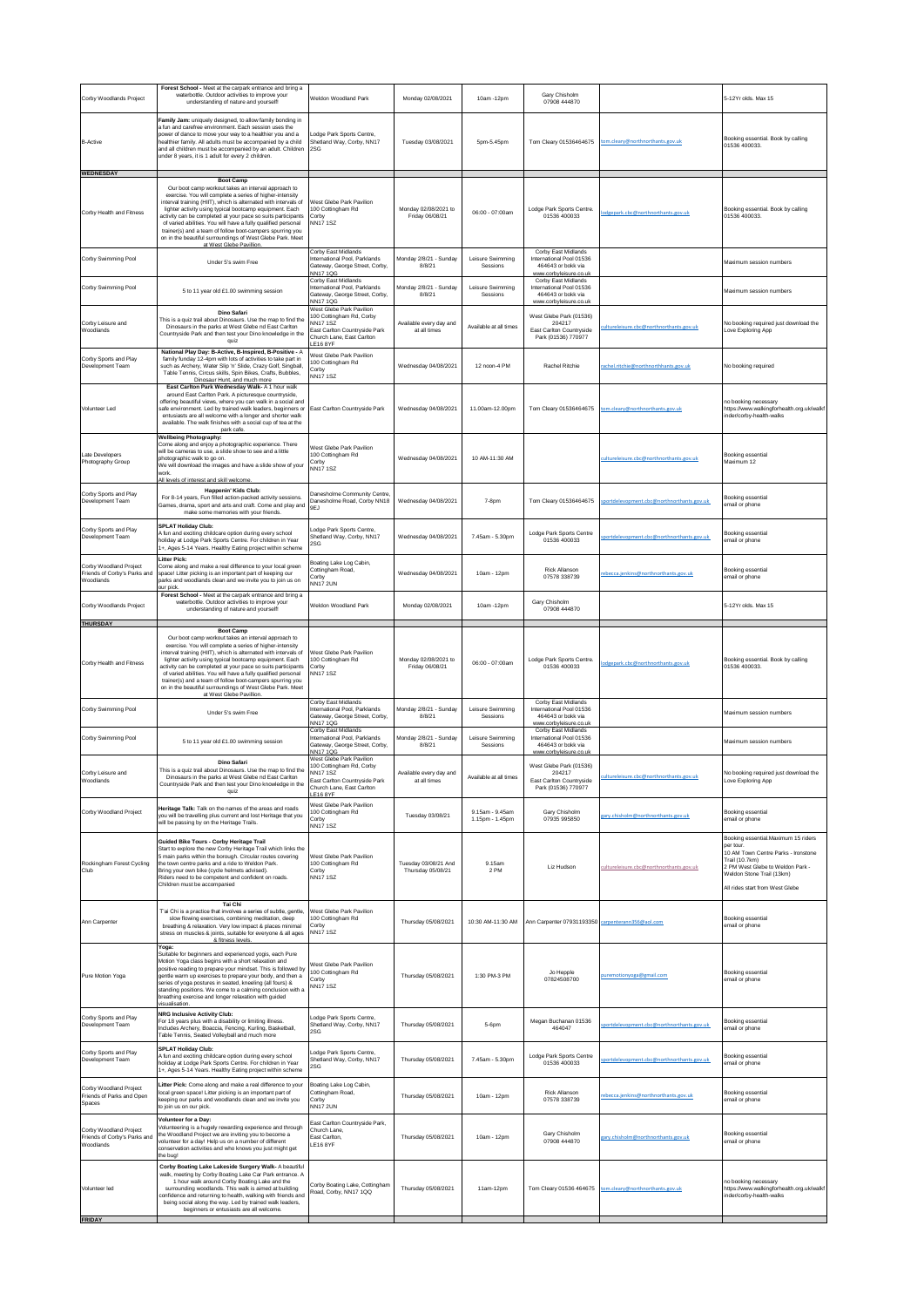| Corby Woodlands Project                                             | Forest School - Meet at the carpark entrance and bring a<br>waterbottle. Outdoor activities to improve your<br>understanding of nature and yourself!                                                                                                                                                                                                                                                                                                                                                                                                    | Weldon Woodland Park                                                                                                                            | Monday 02/08/2021                         | 10am -12pm                         | Gary Chisholm<br>07908 444870                                                                   |                                           | 5-12Yr olds. Max 15                                                                                                                                                                                          |
|---------------------------------------------------------------------|---------------------------------------------------------------------------------------------------------------------------------------------------------------------------------------------------------------------------------------------------------------------------------------------------------------------------------------------------------------------------------------------------------------------------------------------------------------------------------------------------------------------------------------------------------|-------------------------------------------------------------------------------------------------------------------------------------------------|-------------------------------------------|------------------------------------|-------------------------------------------------------------------------------------------------|-------------------------------------------|--------------------------------------------------------------------------------------------------------------------------------------------------------------------------------------------------------------|
| <b>B-Active</b>                                                     | Family Jam: uniquely designed, to allow family bonding in<br>a fun and carefree environment. Each session uses the<br>power of dance to move your way to a healthier you and a<br>healthier family. All adults must be accompanied by a child<br>and all children must be accompanied by an adult. Children<br>under 8 years, it is 1 adult for every 2 children.                                                                                                                                                                                       | odge Park Sports Centre.<br>Shetland Way, Corby, NN17<br>2SG                                                                                    | Tuesday 03/08/2021                        | 5pm-5.45pm                         | Tom Cleary 01536464675                                                                          | tom.cleary@northnorthants.gov.uk          | Booking essential. Book by calling<br>01536 400033.                                                                                                                                                          |
| WEDNESDAY<br>Corby Health and Fitness                               | <b>Boot Camp</b><br>Our boot camp workout takes an interval approach to<br>exercise. You will complete a series of higher-intensity<br>interval training (HIIT), which is alternated with intervals of<br>lighter activity using typical bootcamp equipment. Each<br>activity can be completed at your pace so suits participants<br>of varied abilities. You will have a fully qualified personal<br>trainer(s) and a team of follow boot-campers spurring you<br>on in the beautiful surroundings of West Glebe Park. Meet<br>at West Glebe Pavillion | West Glebe Park Pavilion<br>100 Cottingham Rd<br>Corby<br><b>NN171SZ</b>                                                                        | Monday 02/08/2021 to<br>Friday 06/08/21   | 06:00 - 07:00am                    | Lodge Park Sports Centre.<br>01536 400033                                                       | dgepark.cbc@northnorthants.gov.uk         | Booking essential. Book by calling<br>01536 400033                                                                                                                                                           |
| Corby Swimming Pool                                                 | Under 5's swim Free                                                                                                                                                                                                                                                                                                                                                                                                                                                                                                                                     | Corby East Midlands<br>International Pool, Parklands<br>Gateway, George Street, Corby,<br>NN17 1QG                                              | Monday 2/8/21 - Sunday<br>8/8/21          | Leisure Swimming<br>Sessions       | Corby East Midlands<br>International Pool 01536<br>464643 or bokk via<br>www.corbyleisure.co.uk |                                           | Maximum session numbers                                                                                                                                                                                      |
| Corby Swimming Pool                                                 | 5 to 11 year old £1.00 swimming session                                                                                                                                                                                                                                                                                                                                                                                                                                                                                                                 | Corby East Midlands<br>International Pool, Parklands<br>Gateway, George Street, Corby,<br>NN17 1QG                                              | Monday 2/8/21 - Sunday<br>8/8/21          | Leisure Swimming<br>Sessions       | Corby East Midlands<br>International Pool 01536<br>464643 or bokk via<br>www.corbyleisure.co.ul |                                           | Maximum session numbers                                                                                                                                                                                      |
| Corby Leisure and<br>Woodlands                                      | Dino Safari<br>This is a quiz trail about Dinosaurs. Use the map to find the<br>Dinosaurs in the parks at West Glebe nd East Carlton<br>Countryside Park and then test your Dino knowledge in the<br>quiz                                                                                                                                                                                                                                                                                                                                               | West Glebe Park Pavilion<br>100 Cottingham Rd, Corby<br><b>NN171SZ</b><br>East Carlton Countryside Park<br>Church Lane, East Carlton<br>E16 8YF | Available every day and<br>at all times   | Available at all times             | West Glebe Park (01536)<br>204217<br>East Carlton Countryside<br>Park (01536) 770977            | cultureleisure.cbc@northnorthants.gov.uk  | No booking required just download the<br>Love Exploring App                                                                                                                                                  |
| Corby Sports and Play<br>Development Team                           | National Play Day: B-Active, B-Inspired, B-Positive - A<br>family funday 12-4pm with lots of activities to take part in<br>such as Archery, Water Slip 'n' Slide, Crazy Golf, Singball,<br>Table Tennis, Circus skills, Spin Bikes, Crafts, Bubbles,<br>Dinosaur Hunt, and much more<br>East Carlton Park Wednesday Walk- A 1 hour walk                                                                                                                                                                                                                 | West Glebe Park Pavilion<br>100 Cottingham Rd<br>Corby<br><b>NN171SZ</b>                                                                        | Wednesday 04/08/2021                      | 12 noon-4 PM                       | Rachel Ritchie                                                                                  | achel.ritchie@northnorthhants.gov.uk      | No booking required                                                                                                                                                                                          |
| Volunteer Led                                                       | around East Carlton Park. A picturesque countryside,<br>offering beautiful views, where you can walk in a social and<br>safe environment. Led by trained walk leaders, beginners or<br>entusiasts are all welcome with a longer and shorter walk<br>available. The walk finishes with a social cup of tea at the<br>park cafe                                                                                                                                                                                                                           | East Carlton Countryside Park                                                                                                                   | Wednesday 04/08/2021                      | 11.00am-12.00pm                    | Tom Cleary 01536464675                                                                          | om.cleary@northnorthants.gov.uk           | no booking necessary<br>https://www.walkingforhealth.org.uk/walkf<br>inder/corby-health-walks                                                                                                                |
| Late Developers<br>Photography Group                                | <b>Wellbeing Photography:</b><br>Come along and enjoy a photographic experience. There<br>will be cameras to use, a slide show to see and a little<br>photographic walk to go on<br>We will download the images and have a slide show of your<br>work<br>All levels of interest and skill welcome                                                                                                                                                                                                                                                       | West Glebe Park Pavilion<br>100 Cottingham Rd<br>Corby<br><b>NN171SZ</b>                                                                        | Wednesday 04/08/2021                      | 10 AM-11:30 AM                     |                                                                                                 | cultureleisure.cbc@northnorthants.gov.uk  | Booking essential<br>Maximum 12                                                                                                                                                                              |
| Corby Sports and Play<br>Development Team                           | Happenin' Kids Club:<br>For 8-14 years. Fun filled action-packed activity sessions<br>Games, drama, sport and arts and craft. Come and play and<br>make some memories with your friends.                                                                                                                                                                                                                                                                                                                                                                | Danesholme Community Centre<br>Danesholme Road, Corby NN18<br>9EJ                                                                               | Wednesday 04/08/2021                      | 7-8pm                              | Tom Cleary 01536464675                                                                          | portdelevopment.cbc@northnorthants.gov.uk | Booking essential<br>email or phone                                                                                                                                                                          |
| Corby Sports and Play<br>Development Team                           | <b>SPLAT Holiday Club:</b><br>A fun and exciting childcare option during every school<br>holiday at Lodge Park Sports Centre. For children in Year<br>1+, Ages 5-14 Years. Healthy Eating project within scheme<br><b>Litter Pick:</b>                                                                                                                                                                                                                                                                                                                  | Lodge Park Sports Centre,<br>Shetland Way, Corby, NN17<br>SG                                                                                    | Wednesday 04/08/2021                      | 7.45am - 5.30pm                    | Lodge Park Sports Centre<br>01536 400033                                                        | ortdelevopment.cbc@northnorthants.gov.uk  | Booking essential<br>email or phone                                                                                                                                                                          |
| Corby Woodland Project<br>Friends of Corby's Parks and<br>Woodlands | Come along and make a real difference to your local green<br>space! Litter picking is an important part of keeping our<br>parks and woodlands clean and we invite you to join us on<br>our pick                                                                                                                                                                                                                                                                                                                                                         | Boating Lake Log Cabin,<br>Cottingham Road,<br>Corby<br><b>NN17 2UN</b>                                                                         | Wednesday 04/08/2021                      | 10am - 12pm                        | <b>Rick Allanson</b><br>07578 338739                                                            | ebecca.jenkins@northnorthants.gov.uk      | Booking essential<br>email or phone                                                                                                                                                                          |
| Corby Woodlands Project                                             | Forest School - Meet at the carpark entrance and bring a<br>waterbottle. Outdoor activities to improve your<br>understanding of nature and yourself!                                                                                                                                                                                                                                                                                                                                                                                                    | Weldon Woodland Park                                                                                                                            | Monday 02/08/2021                         | 10am -12pm                         | Gary Chisholm<br>07908 444870                                                                   |                                           | 5-12Yr olds. Max 15                                                                                                                                                                                          |
| THURSDAY<br>Corby Health and Fitness                                | <b>Boot Camp</b><br>Our boot camp workout takes an interval approach to<br>exercise. You will complete a series of higher-intensity<br>interval training (HIIT), which is alternated with intervals of<br>lighter activity using typical bootcamp equipment. Each<br>activity can be completed at your pace so suits participants<br>of varied abilities. You will have a fully qualified personal<br>trainer(s) and a team of follow boot-campers spurring you<br>on in the beautiful surroundings of West Glebe Park. Meet<br>at West Glebe Pavillio  | West Glebe Park Pavilion<br>00 Cottingham Rd<br>Corby<br><b>NN171SZ</b>                                                                         | Monday 02/08/2021 to<br>Friday 06/08/21   | 06:00 - 07:00am                    | Lodge Park Sports Centre.<br>01536 400033                                                       | dgepark.cbc@northnorthants.gov.uk         | Booking essential. Book by calling<br>01536 400033                                                                                                                                                           |
| Corby Swimming Pool                                                 | Under 5's swim Free                                                                                                                                                                                                                                                                                                                                                                                                                                                                                                                                     | Corby East Midlands<br>International Pool, Parklands<br>Gateway, George Street, Corby,<br><b>NN171QG</b>                                        | Monday 2/8/21 - Sunday<br>8/8/21          | Leisure Swimming<br>Sessions       | Corby East Midlands<br>International Pool 01536<br>464643 or bokk via<br>www.corbyleisure.co.uk |                                           | Maximum session numbers                                                                                                                                                                                      |
| Corby Swimming Pool                                                 | 5 to 11 year old £1.00 swimming session                                                                                                                                                                                                                                                                                                                                                                                                                                                                                                                 | Corby East Midlands<br>International Pool, Parklands<br>Gateway, George Street, Corby,<br>NN17 1QG                                              | Monday 2/8/21 - Sunday<br>8/8/21          | Leisure Swimming<br>Sessions       | Corby East Midlands<br>International Pool 01536<br>464643 or bokk via<br>corbulgisure co ul     |                                           | Maximum session numbers                                                                                                                                                                                      |
| Corby Leisure and<br>iv oodlands                                    | <b>Dino Safari</b><br>This is a quiz trail about Dinosaurs. Use the map to find the<br>Dinosaurs in the parks at West Glebe nd East Carlton<br>Countryside Park and then test your Dino knowledge in the<br>quiz                                                                                                                                                                                                                                                                                                                                        | West Glebe Park Pavilion<br>00 Cottingham Rd, Corby<br>NN171SZ<br>ast Carlton Countryside Park:<br>Church Lane, East Carlton<br><b>LE16 8YF</b> | Available every day and<br>at all times   | Available at all times             | West Glebe Park (01536)<br>204217<br>Park (01536) 770977                                        | ultureleisure.cbc@northnorthants.gov.uk   | No booking required just download the<br>ove Exploring App.                                                                                                                                                  |
| Corby Woodland Project                                              | Heritage Talk: Talk on the names of the areas and roads<br>you will be travelling plus current and lost Heritage that you<br>will be passing by on the Heritage Trails.                                                                                                                                                                                                                                                                                                                                                                                 | West Glebe Park Pavilion<br>100 Cottingham Rd<br>Corby<br><b>NN171SZ</b>                                                                        | Tuesday 03/08/21                          | 9 15am - 9 45am<br>1.15pm - 1.45pm | Gary Chisholm<br>07935 995850                                                                   | ary.chisholm@northnorthants.gov.uk        | Booking essential<br>email or phone                                                                                                                                                                          |
| Rockingham Forest Cycling<br>Club                                   | Guided Bike Tours - Corby Heritage Trail<br>Start to explore the new Corby Heritage Trail which links the<br>5 main parks within the borough. Circular routes covering<br>the town centre parks and a ride to Weldon Park.<br>Bring your own bike (cycle helmets advised).<br>Riders need to be competent and confident on roads.<br>Children must be accompanied                                                                                                                                                                                       | West Glebe Park Pavilion<br>100 Cottingham Rd<br>Corby<br><b>NN171SZ</b>                                                                        | Tuesday 03/08/21 And<br>Thursday 05/08/21 | 9.15am<br>2 PM                     | Liz Hudson                                                                                      | cultureleisure.cbc@northnorthants.gov.uk  | Booking essential.Maximum 15 riders<br>per tour<br>10 AM Town Centre Parks - Ironstone<br>Trail (10.7km)<br>2 PM West Glebe to Weldon Park -<br>Weldon Stone Trail (13km)<br>All rides start from West Glebe |
| Ann Carpenter                                                       | Tai Chi<br>T'ai Chi is a practice that involves a series of subtle, gentle,<br>slow flowing exercises, combining meditation, deep<br>breathing & relaxation. Very low impact & places minimal<br>stress on muscles & joints, suitable for everyone & all ages<br>& fitness levels.                                                                                                                                                                                                                                                                      | West Glebe Park Pavilion<br>100 Cottingham Rd<br>Corby<br><b>NN171SZ</b>                                                                        | Thursday 05/08/2021                       | 10:30 AM-11:30 AM                  | Ann Carpenter 07931193350 carpenterann356@aol.com                                               |                                           | Booking essential<br>email or phone                                                                                                                                                                          |
| Pure Motion Yoga                                                    | Yoga:<br>Suitable for beginners and experienced yogis, each Pure<br>Motion Yoga class begins with a short relaxation and<br>positive reading to prepare your mindset. This is followed by<br>gentle warm up exercises to prepare your body, and then a<br>series of yoga postures in seated, kneeling (all fours) &<br>standing positions. We come to a calming conclusion with a<br>breathing exercise and longer relaxation with guided<br>sualisation                                                                                                | West Glebe Park Pavilion<br>100 Cottingham Rd<br>Corby<br><b>NN171SZ</b>                                                                        | Thursday 05/08/2021                       | 1:30 PM-3 PM                       | Jo Hepple<br>07824508700                                                                        | remotionyoga@gmail.com                    | <b>Booking essential</b><br>email or phone                                                                                                                                                                   |
| Corby Sports and Play<br>Development Team                           | <b>NRG Inclusive Activity Club:</b><br>For 18 years plus with a disability or limiting illness.<br>Includes Archery, Boaccia, Fencing, Kurling, Basketball,<br>Table Tennis, Seated Volleyball and much more                                                                                                                                                                                                                                                                                                                                            | Lodge Park Sports Centre,<br>Shetland Way, Corby, NN17<br>2SG                                                                                   | Thursday 05/08/2021                       | 5-6pm                              | Megan Buchanan 01536<br>464047                                                                  | portdelevopment.cbc@northnorthants.gov.uk | <b>Booking essential</b><br>email or phone                                                                                                                                                                   |
| Corby Sports and Play<br>Development Team                           | <b>SPLAT Holiday Club:</b><br>A fun and exciting childcare option during every school<br>holiday at Lodge Park Sports Centre. For children in Year<br>1+, Ages 5-14 Years. Healthy Eating project within scheme                                                                                                                                                                                                                                                                                                                                         | Lodge Park Sports Centre,<br>Shetland Way, Corby, NN17<br>2SG                                                                                   | Thursday 05/08/2021                       | 7.45am - 5.30pm                    | Lodge Park Sports Centre<br>01536 400033                                                        | rtdelevopment.cbc@northnorthants.gov.uk   | Booking essential<br>email or phone                                                                                                                                                                          |
| Corby Woodland Project<br>Friends of Parks and Open<br>Spaces       | Litter Pick: Come along and make a real difference to your<br>local green space! Litter picking is an important part of<br>keeping our parks and woodlands clean and we invite you<br>to join us on our pick.                                                                                                                                                                                                                                                                                                                                           | Boating Lake Log Cabin,<br>Cottingham Road,<br>Corby<br><b>NN17 2UN</b>                                                                         | Thursday 05/08/2021                       | 10am - 12pm                        | Rick Allanson<br>07578 338739                                                                   | ebecca.jenkins@northnorthants.gov.uk      | Booking essential<br>email or phone                                                                                                                                                                          |
| Corby Woodland Project<br>Friends of Corby's Parks and<br>Woodlands | Volunteer for a Day:<br>Volunteering is a hugely rewarding experience and through<br>the Woodland Project we are inviting you to become a<br>volunteer for a day! Help us on a number of different<br>conservation activities and who knows you just might get<br>the bug!                                                                                                                                                                                                                                                                              | East Carlton Countryside Park,<br>Church Lane,<br>East Carlton,<br><b>LE16 8YF</b>                                                              | Thursday 05/08/2021                       | 10am - 12pm                        | Gary Chisholm<br>07908 444870                                                                   | gary.chisholm@northnorthants.gov.uk       | Booking essential<br>email or phone                                                                                                                                                                          |
| Volunteer led                                                       | Corby Boating Lake Lakeside Surgery Walk- A beautiful<br>walk, meeting by Corby Boating Lake Car Park entrance. A<br>1 hour walk around Corby Boating Lake and the<br>surrounding woodlands. This walk is aimed at building<br>confidence and returning to health, walking with friends and<br>being social along the way. Led by trained walk leaders,<br>beginners or entusiasts are all welcome.                                                                                                                                                     | Corby Boating Lake, Cottingham<br>Road, Corby, NN17 1QQ                                                                                         | Thursday 05/08/2021                       | 11am-12pm                          | Tom Cleary 01536 464675                                                                         | tom.cleary@northnorthants.gov.uk          | no booking necessary<br>https://www.walkingforhealth.org.uk/walkf<br>inder/corby-health-walks                                                                                                                |
| <b>FRIDAY</b>                                                       |                                                                                                                                                                                                                                                                                                                                                                                                                                                                                                                                                         |                                                                                                                                                 |                                           |                                    |                                                                                                 |                                           |                                                                                                                                                                                                              |